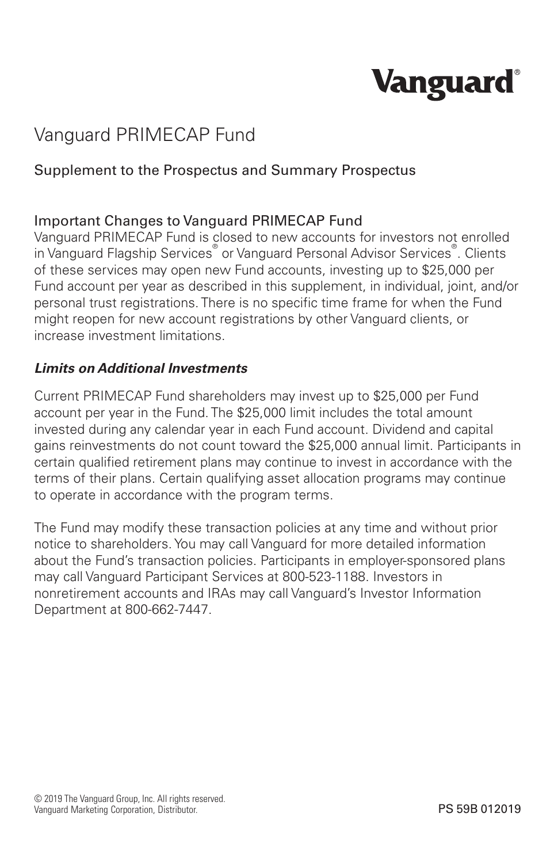## **Vanguard**

### Vanguard PRIMECAP Fund

#### Supplement to the Prospectus and Summary Prospectus

#### Important Changes to Vanguard PRIMECAP Fund

Vanguard PRIMECAP Fund is closed to new accounts for investors not enrolled in Vanguard Flagship Services® or Vanguard Personal Advisor Services® . Clients of these services may open new Fund accounts, investing up to \$25,000 per Fund account per year as described in this supplement, in individual, joint, and/or personal trust registrations. There is no specific time frame for when the Fund might reopen for new account registrations by other Vanguard clients, or increase investment limitations.

#### *Limits on Additional Investments*

Current PRIMECAP Fund shareholders may invest up to \$25,000 per Fund account per year in the Fund. The \$25,000 limit includes the total amount invested during any calendar year in each Fund account. Dividend and capital gains reinvestments do not count toward the \$25,000 annual limit. Participants in certain qualified retirement plans may continue to invest in accordance with the terms of their plans. Certain qualifying asset allocation programs may continue to operate in accordance with the program terms.

The Fund may modify these transaction policies at any time and without prior notice to shareholders. You may call Vanguard for more detailed information about the Fund's transaction policies. Participants in employer-sponsored plans may call Vanguard Participant Services at 800-523-1188. Investors in nonretirement accounts and IRAs may call Vanguard's Investor Information Department at 800-662-7447.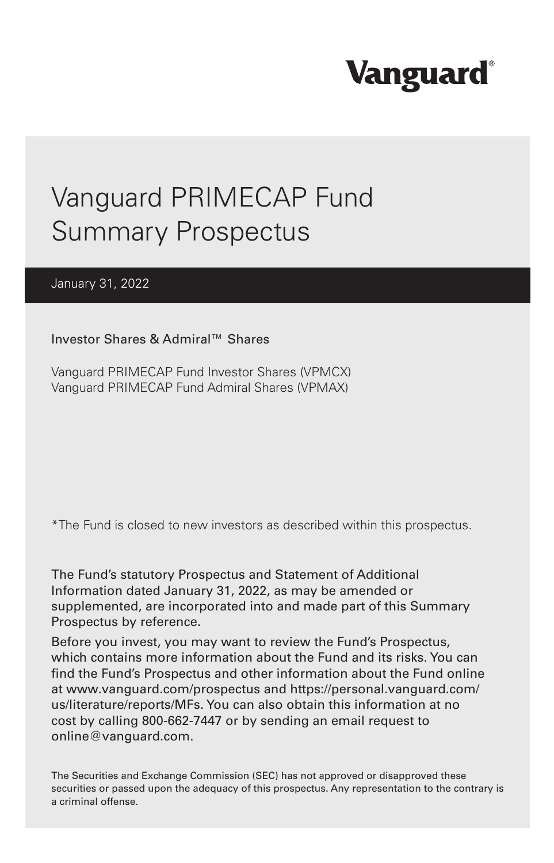# **Vanguard**

### Vanguard PRIMECAP Fund Summary Prospectus

#### January 31, 2022

Investor Shares & Admiral™ Shares

Vanguard PRIMECAP Fund Investor Shares (VPMCX) Vanguard PRIMECAP Fund Admiral Shares (VPMAX)

\*The Fund is closed to new investors as described within this prospectus.

The Fund's statutory Prospectus and Statement of Additional Information dated January 31, 2022, as may be amended or supplemented, are incorporated into and made part of this Summary Prospectus by reference.

Before you invest, you may want to review the Fund's Prospectus, which contains more information about the Fund and its risks. You can find the Fund's Prospectus and other information about the Fund online at www.vanguard.com/prospectus and https://personal.vanguard.com/ us/literature/reports/MFs. You can also obtain this information at no cost by calling 800-662-7447 or by sending an email request to online@vanguard.com.

The Securities and Exchange Commission (SEC) has not approved or disapproved these securities or passed upon the adequacy of this prospectus. Any representation to the contrary is a criminal offense.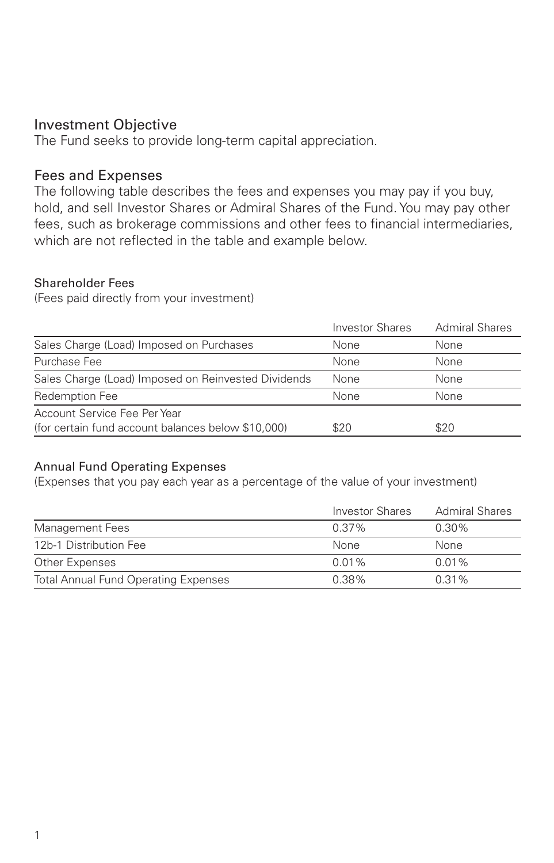#### Investment Objective

The Fund seeks to provide long-term capital appreciation.

#### Fees and Expenses

The following table describes the fees and expenses you may pay if you buy, hold, and sell Investor Shares or Admiral Shares of the Fund. You may pay other fees, such as brokerage commissions and other fees to financial intermediaries, which are not reflected in the table and example below.

#### Shareholder Fees

(Fees paid directly from your investment)

|                                                     | <b>Investor Shares</b> | <b>Admiral Shares</b> |
|-----------------------------------------------------|------------------------|-----------------------|
| Sales Charge (Load) Imposed on Purchases            | None                   | None                  |
| Purchase Fee                                        | None                   | None                  |
| Sales Charge (Load) Imposed on Reinvested Dividends | None                   | None                  |
| Redemption Fee                                      | None                   | None                  |
| Account Service Fee Per Year                        |                        |                       |
| (for certain fund account balances below \$10,000)  | \$20                   | \$20                  |

#### Annual Fund Operating Expenses

(Expenses that you pay each year as a percentage of the value of your investment)

|                                             | Investor Shares | <b>Admiral Shares</b> |
|---------------------------------------------|-----------------|-----------------------|
| Management Fees                             | $0.37\%$        | $0.30\%$              |
| 12b-1 Distribution Fee                      | <b>None</b>     | None                  |
| Other Expenses                              | $0.01\%$        | $0.01\%$              |
| <b>Total Annual Fund Operating Expenses</b> | 0.38%           | $0.31\%$              |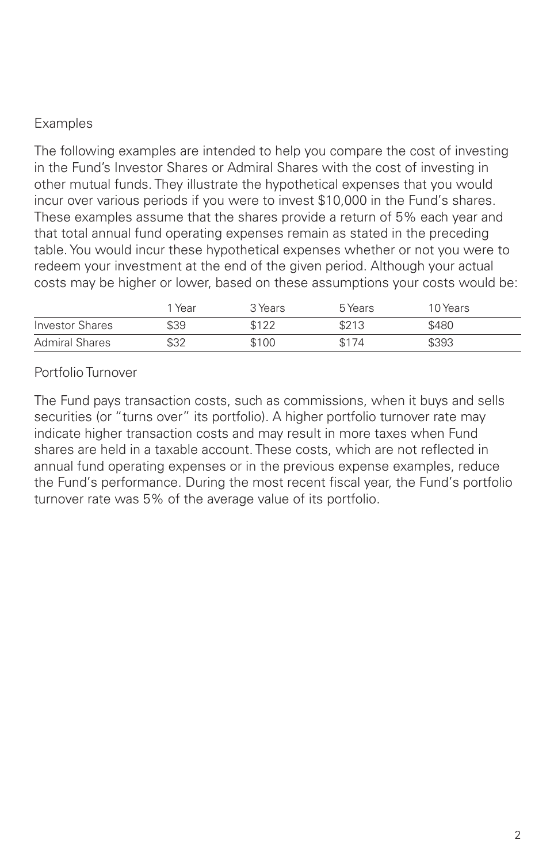#### Examples

The following examples are intended to help you compare the cost of investing in the Fund's Investor Shares or Admiral Shares with the cost of investing in other mutual funds. They illustrate the hypothetical expenses that you would incur over various periods if you were to invest \$10,000 in the Fund's shares. These examples assume that the shares provide a return of 5% each year and that total annual fund operating expenses remain as stated in the preceding table. You would incur these hypothetical expenses whether or not you were to redeem your investment at the end of the given period. Although your actual costs may be higher or lower, based on these assumptions your costs would be:

|                       | Year | 3 Years | 5 Years | 10 Years |
|-----------------------|------|---------|---------|----------|
| Investor Shares       | \$39 | \$122   | \$213   | \$480    |
| <b>Admiral Shares</b> | \$32 | \$100   | \$174   | \$393    |

Portfolio Turnover

The Fund pays transaction costs, such as commissions, when it buys and sells securities (or "turns over" its portfolio). A higher portfolio turnover rate may indicate higher transaction costs and may result in more taxes when Fund shares are held in a taxable account. These costs, which are not reflected in annual fund operating expenses or in the previous expense examples, reduce the Fund's performance. During the most recent fiscal year, the Fund's portfolio turnover rate was 5% of the average value of its portfolio.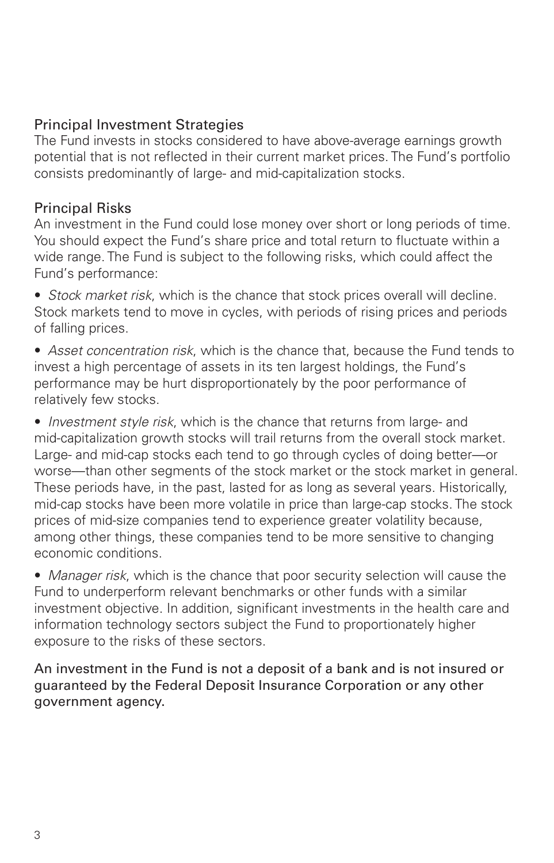#### Principal Investment Strategies

The Fund invests in stocks considered to have above-average earnings growth potential that is not reflected in their current market prices. The Fund's portfolio consists predominantly of large- and mid-capitalization stocks.

#### Principal Risks

An investment in the Fund could lose money over short or long periods of time. You should expect the Fund's share price and total return to fluctuate within a wide range. The Fund is subject to the following risks, which could affect the Fund's performance:

• *Stock market risk*, which is the chance that stock prices overall will decline. Stock markets tend to move in cycles, with periods of rising prices and periods of falling prices.

• *Asset concentration risk*, which is the chance that, because the Fund tends to invest a high percentage of assets in its ten largest holdings, the Fund's performance may be hurt disproportionately by the poor performance of relatively few stocks.

• *Investment style risk*, which is the chance that returns from large- and mid-capitalization growth stocks will trail returns from the overall stock market. Large- and mid-cap stocks each tend to go through cycles of doing better—or worse—than other segments of the stock market or the stock market in general. These periods have, in the past, lasted for as long as several years. Historically, mid-cap stocks have been more volatile in price than large-cap stocks. The stock prices of mid-size companies tend to experience greater volatility because, among other things, these companies tend to be more sensitive to changing economic conditions.

• *Manager risk*, which is the chance that poor security selection will cause the Fund to underperform relevant benchmarks or other funds with a similar investment objective. In addition, significant investments in the health care and information technology sectors subject the Fund to proportionately higher exposure to the risks of these sectors.

An investment in the Fund is not a deposit of a bank and is not insured or guaranteed by the Federal Deposit Insurance Corporation or any other government agency.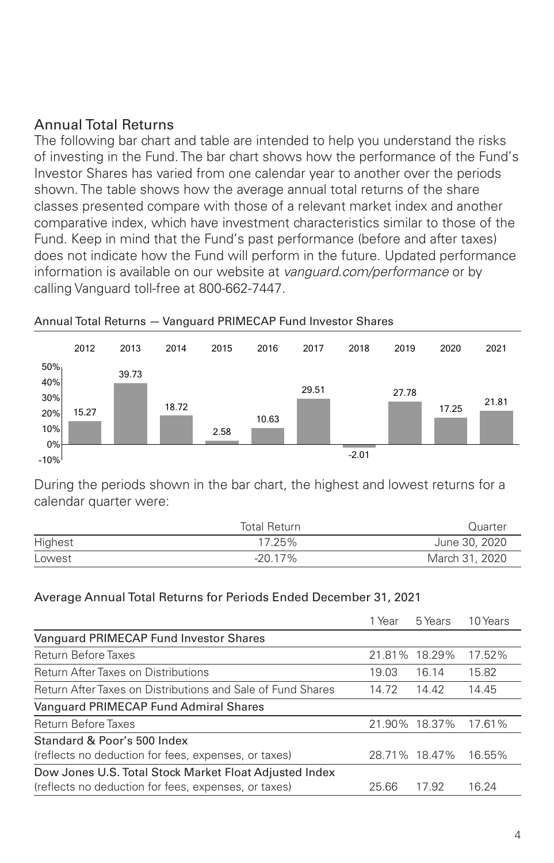#### Annual Total Returns

The following bar chart and table are intended to help you understand the risks of investing in the Fund. The bar chart shows how the performance of the Fund's Investor Shares has varied from one calendar year to another over the periods shown. The table shows how the average annual total returns of the share classes presented compare with those of a relevant market index and another comparative index, which have investment characteristics similar to those of the Fund. Keep in mind that the Fund's past performance (before and after taxes) does not indicate how the Fund will perform in the future. Updated performance information is available on our website at *vanguard.com/performance* or by calling Vanguard toll-free at 800-662-7447.



#### Annual Total Returns — Vanguard PRIMECAP Fund Investor Shares

During the periods shown in the bar chart, the highest and lowest returns for a calendar quarter were:

|         | <b>Total Return</b> | Quarter        |
|---------|---------------------|----------------|
| Highest | 17.25%              | June 30, 2020  |
| Lowest  | $-20.17\%$          | March 31, 2020 |

#### Average Annual Total Returns for Periods Ended December 31, 2021

|                                                             | 1 Year | 5 Years       | 10 Years |
|-------------------------------------------------------------|--------|---------------|----------|
| Vanguard PRIMECAP Fund Investor Shares                      |        |               |          |
| <b>Return Before Taxes</b>                                  |        | 21.81% 18.29% | 17.52%   |
| <b>Return After Taxes on Distributions</b>                  | 19.03  | 16.14         | 15.82    |
| Return After Taxes on Distributions and Sale of Fund Shares | 14.72  | 14.42         | 14.45    |
| Vanguard PRIMECAP Fund Admiral Shares                       |        |               |          |
| <b>Return Before Taxes</b>                                  |        | 21.90% 18.37% | 17.61%   |
| Standard & Poor's 500 Index                                 |        |               |          |
| (reflects no deduction for fees, expenses, or taxes)        |        | 28.71% 18.47% | 16.55%   |
| Dow Jones U.S. Total Stock Market Float Adjusted Index      |        |               |          |
| (reflects no deduction for fees, expenses, or taxes)        | 25.66  | 17.92         | 16.24    |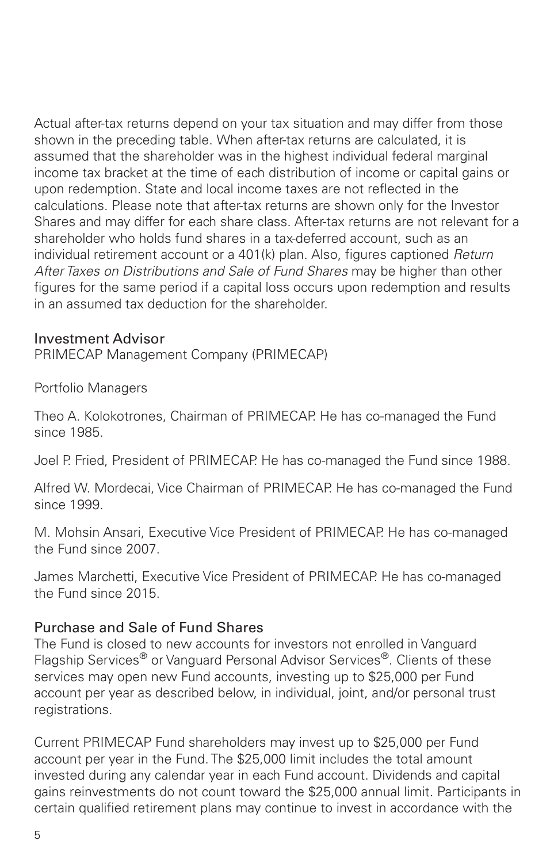Actual after-tax returns depend on your tax situation and may differ from those shown in the preceding table. When after-tax returns are calculated, it is assumed that the shareholder was in the highest individual federal marginal income tax bracket at the time of each distribution of income or capital gains or upon redemption. State and local income taxes are not reflected in the calculations. Please note that after-tax returns are shown only for the Investor Shares and may differ for each share class. After-tax returns are not relevant for a shareholder who holds fund shares in a tax-deferred account, such as an individual retirement account or a 401(k) plan. Also, figures captioned *Return After Taxes on Distributions and Sale of Fund Shares* may be higher than other figures for the same period if a capital loss occurs upon redemption and results in an assumed tax deduction for the shareholder.

#### Investment Advisor

PRIMECAP Management Company (PRIMECAP)

Portfolio Managers

Theo A. Kolokotrones, Chairman of PRIMECAP. He has co-managed the Fund since 1985.

Joel P. Fried, President of PRIMECAP. He has co-managed the Fund since 1988.

Alfred W. Mordecai, Vice Chairman of PRIMECAP. He has co-managed the Fund since 1999.

M. Mohsin Ansari, Executive Vice President of PRIMECAP. He has co-managed the Fund since 2007.

James Marchetti, Executive Vice President of PRIMECAP. He has co-managed the Fund since 2015.

#### Purchase and Sale of Fund Shares

The Fund is closed to new accounts for investors not enrolled in Vanguard Flagship Services® or Vanguard Personal Advisor Services®. Clients of these services may open new Fund accounts, investing up to \$25,000 per Fund account per year as described below, in individual, joint, and/or personal trust registrations.

Current PRIMECAP Fund shareholders may invest up to \$25,000 per Fund account per year in the Fund. The \$25,000 limit includes the total amount invested during any calendar year in each Fund account. Dividends and capital gains reinvestments do not count toward the \$25,000 annual limit. Participants in certain qualified retirement plans may continue to invest in accordance with the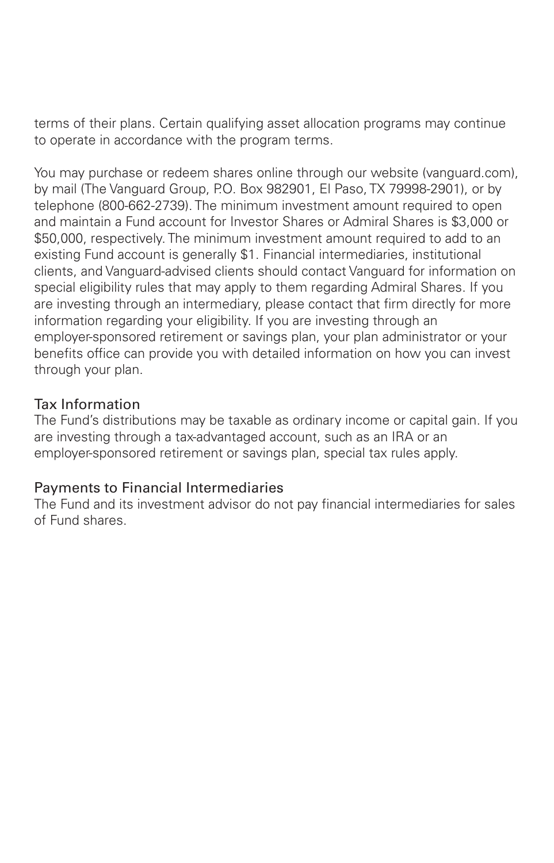terms of their plans. Certain qualifying asset allocation programs may continue to operate in accordance with the program terms.

You may purchase or redeem shares online through our website (vanguard.com), by mail (The Vanguard Group, P.O. Box 982901, El Paso, TX 79998-2901), or by telephone (800-662-2739). The minimum investment amount required to open and maintain a Fund account for Investor Shares or Admiral Shares is \$3,000 or \$50,000, respectively. The minimum investment amount required to add to an existing Fund account is generally \$1. Financial intermediaries, institutional clients, and Vanguard-advised clients should contact Vanguard for information on special eligibility rules that may apply to them regarding Admiral Shares. If you are investing through an intermediary, please contact that firm directly for more information regarding your eligibility. If you are investing through an employer-sponsored retirement or savings plan, your plan administrator or your benefits office can provide you with detailed information on how you can invest through your plan.

#### Tax Information

The Fund's distributions may be taxable as ordinary income or capital gain. If you are investing through a tax-advantaged account, such as an IRA or an employer-sponsored retirement or savings plan, special tax rules apply.

#### Payments to Financial Intermediaries

The Fund and its investment advisor do not pay financial intermediaries for sales of Fund shares.